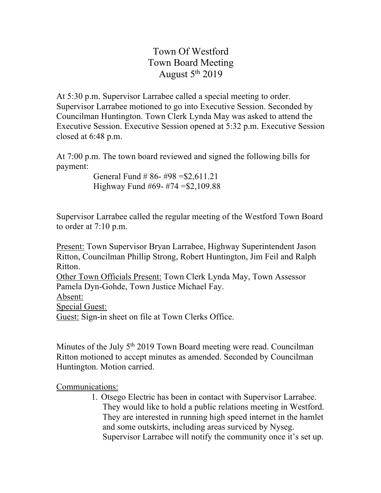Town Of Westford Town Board Meeting August  $5<sup>th</sup> 2019$ 

At 5:30 p.m. Supervisor Larrabee called a special meeting to order. Supervisor Larrabee motioned to go into Executive Session. Seconded by Councilman Huntington. Town Clerk Lynda May was asked to attend the Executive Session. Executive Session opened at 5:32 p.m. Executive Session closed at 6:48 p.m.

At 7:00 p.m. The town board reviewed and signed the following bills for payment:

> General Fund # 86- #98 =\$2,611.21 Highway Fund #69- #74 =\$2,109.88

Supervisor Larrabee called the regular meeting of the Westford Town Board to order at 7:10 p.m.

Present: Town Supervisor Bryan Larrabee, Highway Superintendent Jason Ritton, Councilman Phillip Strong, Robert Huntington, Jim Feil and Ralph Ritton.

Other Town Officials Present: Town Clerk Lynda May, Town Assessor Pamela Dyn-Gohde, Town Justice Michael Fay.

Absent:

Special Guest:

Guest: Sign-in sheet on file at Town Clerks Office.

Minutes of the July 5<sup>th</sup> 2019 Town Board meeting were read. Councilman Ritton motioned to accept minutes as amended. Seconded by Councilman Huntington. Motion carried.

Communications:

1. Otsego Electric has been in contact with Supervisor Larrabee. They would like to hold a public relations meeting in Westford. They are interested in running high speed internet in the hamlet and some outskirts, including areas surviced by Nyseg. Supervisor Larrabee will notify the community once it's set up.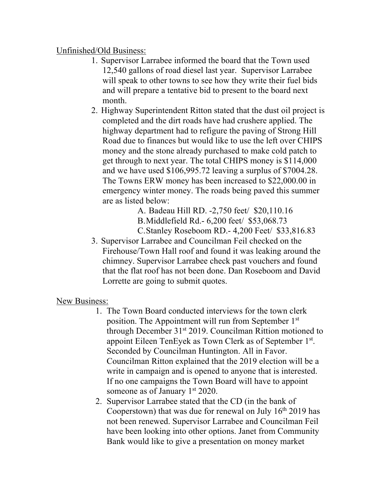## Unfinished/Old Business:

- 1. Supervisor Larrabee informed the board that the Town used 12,540 gallons of road diesel last year. Supervisor Larrabee will speak to other towns to see how they write their fuel bids and will prepare a tentative bid to present to the board next month.
- 2. Highway Superintendent Ritton stated that the dust oil project is completed and the dirt roads have had crushere applied. The highway department had to refigure the paving of Strong Hill Road due to finances but would like to use the left over CHIPS money and the stone already purchased to make cold patch to get through to next year. The total CHIPS money is \$114,000 and we have used \$106,995.72 leaving a surplus of \$7004.28. The Towns ERW money has been increased to \$22,000.00 in emergency winter money. The roads being paved this summer are as listed below:

A. Badeau Hill RD. -2,750 feet/ \$20,110.16 B.Middlefield Rd.- 6,200 feet/ \$53,068.73 C.Stanley Roseboom RD.- 4,200 Feet/ \$33,816.83

3. Supervisor Larrabee and Councilman Feil checked on the Firehouse/Town Hall roof and found it was leaking around the chimney. Supervisor Larrabee check past vouchers and found that the flat roof has not been done. Dan Roseboom and David Lorrette are going to submit quotes.

## New Business:

- 1. The Town Board conducted interviews for the town clerk position. The Appointment will run from September 1st through December 31st 2019. Councilman Rittion motioned to appoint Eileen TenEyek as Town Clerk as of September 1st. Seconded by Councilman Huntington. All in Favor. Councilman Ritton explained that the 2019 election will be a write in campaign and is opened to anyone that is interested. If no one campaigns the Town Board will have to appoint someone as of January  $1<sup>st</sup> 2020$ .
- 2. Supervisor Larrabee stated that the CD (in the bank of Cooperstown) that was due for renewal on July  $16<sup>th</sup> 2019$  has not been renewed. Supervisor Larrabee and Councilman Feil have been looking into other options. Janet from Community Bank would like to give a presentation on money market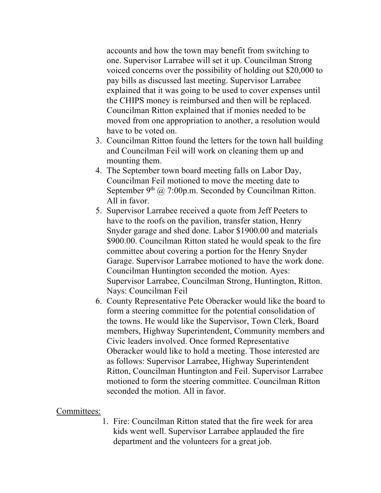accounts and how the town may benefit from switching to one. Supervisor Larrabee will set it up. Councilman Strong voiced concerns over the possibility of holding out \$20,000 to pay bills as discussed last meeting. Supervisor Larrabee explained that it was going to be used to cover expenses until the CHIPS money is reimbursed and then will be replaced. Councilman Ritton explained that if monies needed to be moved from one appropriation to another, a resolution would have to be voted on.

- 3. Councilman Ritton found the letters for the town hall building and Councilman Feil will work on cleaning them up and mounting them.
- 4. The September town board meeting falls on Labor Day, Councilman Feil motioned to move the meeting date to September 9<sup>th</sup> @ 7:00p.m. Seconded by Councilman Ritton. All in favor.
- 5. Supervisor Larrabee received a quote from Jeff Peeters to have to the roofs on the pavilion, transfer station, Henry Snyder garage and shed done. Labor \$1900.00 and materials \$900.00. Councilman Ritton stated he would speak to the fire committee about covering a portion for the Henry Snyder Garage. Supervisor Larrabee motioned to have the work done. Councilman Huntington seconded the motion. Ayes: Supervisor Larrabee, Councilman Strong, Huntington, Ritton. Nays: Councilman Feil
- 6. County Representative Pete Oberacker would like the board to form a steering committee for the potential consolidation of the towns. He would like the Supervisor, Town Clerk, Board members, Highway Superintendent, Community members and Civic leaders involved. Once formed Representative Oberacker would like to hold a meeting. Those interested are as follows: Supervisor Larrabee, Highway Superintendent Ritton, Councilman Huntington and Feil. Supervisor Larrabee motioned to form the steering committee. Councilman Ritton seconded the motion. All in favor.

## Committees:

1. Fire: Councilman Ritton stated that the fire week for area kids went well. Supervisor Larrabee applauded the fire department and the volunteers for a great job.